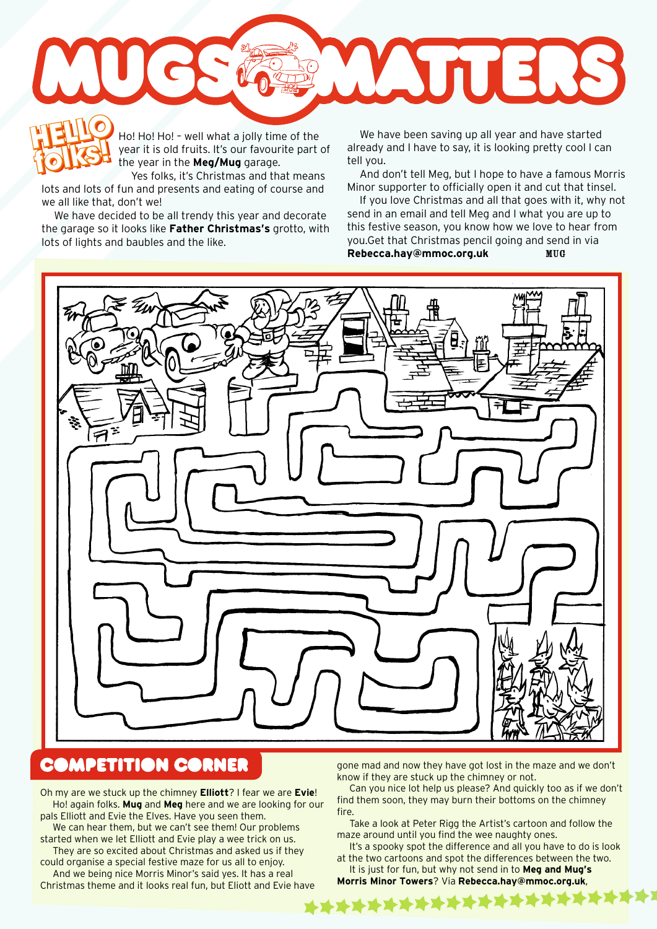ATTERS **HELLO HELLO** 

Ho! Ho! Ho! – well what a jolly time of the year it is old fruits. It's our favourite part of the year in the **Meg/Mug** garage.

Yes folks, it's Christmas and that means lots and lots of fun and presents and eating of course and we all like that, don't we! **folks!**

We have decided to be all trendy this year and decorate the garage so it looks like **Father Christmas's** grotto, with lots of lights and baubles and the like.

Hol Hol Hol - well what a jolly time of the We have been saving up all year and have started<br>
year it is old fruits. It's our favourite part of already and I have to say, it is looking pretty cool I can<br>
the year in the **M** already and I have to say, it is looking pretty cool I can tell you.

And don't tell Meg, but I hope to have a famous Morris Minor supporter to officially open it and cut that tinsel.

If you love Christmas and all that goes with it, why not send in an email and tell Meg and I what you are up to this festive season, you know how we love to hear from you.Get that Christmas pencil going and send in via **Rebecca.hay@mmoc.org.uk** MUG



## **COMPETITION CORNER**

Oh my are we stuck up the chimney **Elliott**? I fear we are **Evie**! Ho! again folks. **Mug** and **Meg** here and we are looking for our pals Elliott and Evie the Elves. Have you seen them.

We can hear them, but we can't see them! Our problems started when we let Elliott and Evie play a wee trick on us. They are so excited about Christmas and asked us if they

could organise a special festive maze for us all to enjoy. And we being nice Morris Minor's said yes. It has a real

Christmas theme and it looks real fun, but Eliott and Evie have

gone mad and now they have got lost in the maze and we don't know if they are stuck up the chimney or not.

Can you nice lot help us please? And quickly too as if we don't find them soon, they may burn their bottoms on the chimney fire.

Take a look at Peter Rigg the Artist's cartoon and follow the maze around until you find the wee naughty ones.

It's a spooky spot the difference and all you have to do is look at the two cartoons and spot the differences between the two.

It is just for fun, but why not send in to **Meg and Mug's Morris Minor Towers**? Via **Rebecca.hay@mmoc.org.uk**,

\*\*\*\*\*\*\*\*\*\*\*\*\*\*\*